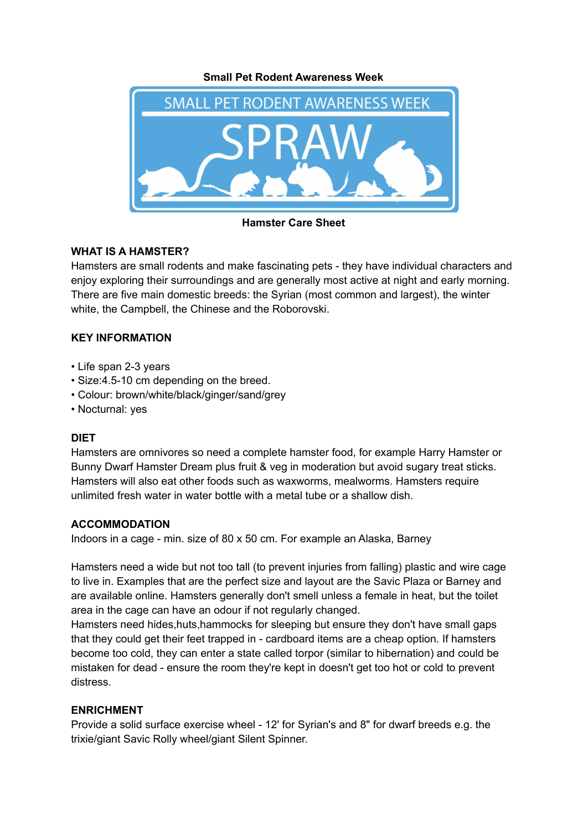**Small Pet Rodent Awareness Week**



**Hamster Care Sheet**

# **WHAT IS A HAMSTER?**

Hamsters are small rodents and make fascinating pets - they have individual characters and enjoy exploring their surroundings and are generally most active at night and early morning. There are five main domestic breeds: the Syrian (most common and largest), the winter white, the Campbell, the Chinese and the Roborovski.

# **KEY INFORMATION**

- Life span 2-3 years
- Size:4.5-10 cm depending on the breed.
- Colour: brown/white/black/ginger/sand/grey
- Nocturnal: yes

## **DIET**

Hamsters are omnivores so need a complete hamster food, for example Harry Hamster or Bunny Dwarf Hamster Dream plus fruit & veg in moderation but avoid sugary treat sticks. Hamsters will also eat other foods such as waxworms, mealworms. Hamsters require unlimited fresh water in water bottle with a metal tube or a shallow dish.

## **ACCOMMODATION**

Indoors in a cage - min. size of 80 x 50 cm. For example an Alaska, Barney

Hamsters need a wide but not too tall (to prevent injuries from falling) plastic and wire cage to live in. Examples that are the perfect size and layout are the Savic Plaza or Barney and are available online. Hamsters generally don't smell unless a female in heat, but the toilet area in the cage can have an odour if not regularly changed.

Hamsters need hides, huts, hammocks for sleeping but ensure they don't have small gaps that they could get their feet trapped in - cardboard items are a cheap option. If hamsters become too cold, they can enter a state called torpor (similar to hibernation) and could be mistaken for dead - ensure the room they're kept in doesn't get too hot or cold to prevent distress.

## **ENRICHMENT**

Provide a solid surface exercise wheel - 12' for Syrian's and 8" for dwarf breeds e.g. the trixie/giant Savic Rolly wheel/giant Silent Spinner.